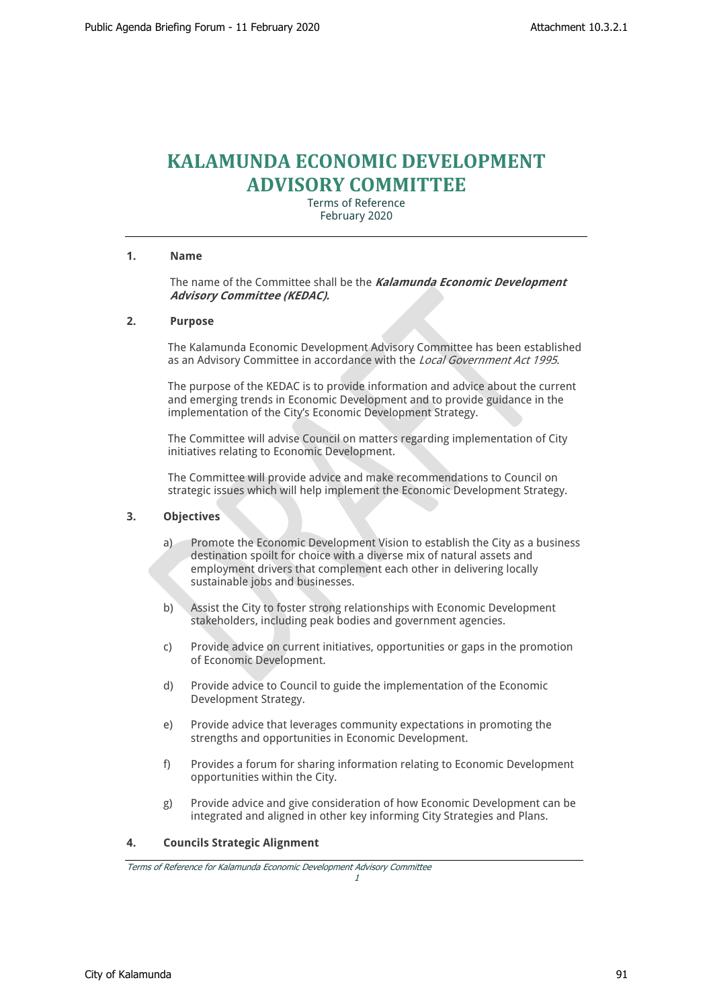# **KALAMUNDA ECONOMIC DEVELOPMENT ADVISORY COMMITTEE**

Terms of Reference February 2020

#### **1. Name**

The name of the Committee shall be the *Kalamunda Economic Development Advisory Committee (KEDAC).*

## **2. Purpose**

The Kalamunda Economic Development Advisory Committee has been established as an Advisory Committee in accordance with the *Local Government Act 1995*.

The purpose of the KEDAC is to provide information and advice about the current and emerging trends in Economic Development and to provide guidance in the implementation of the City's Economic Development Strategy.

The Committee will advise Council on matters regarding implementation of City initiatives relating to Economic Development.

The Committee will provide advice and make recommendations to Council on strategic issues which will help implement the Economic Development Strategy.

#### **3. Objectives**

- a) Promote the Economic Development Vision to establish the City as a business destination spoilt for choice with a diverse mix of natural assets and employment drivers that complement each other in delivering locally sustainable jobs and businesses.
- b) Assist the City to foster strong relationships with Economic Development stakeholders, including peak bodies and government agencies.
- c) Provide advice on current initiatives, opportunities or gaps in the promotion of Economic Development.
- d) Provide advice to Council to guide the implementation of the Economic Development Strategy.
- e) Provide advice that leverages community expectations in promoting the strengths and opportunities in Economic Development.
- f) Provides a forum for sharing information relating to Economic Development opportunities within the City.
- g) Provide advice and give consideration of how Economic Development can be integrated and aligned in other key informing City Strategies and Plans.

# **4. Councils Strategic Alignment**

*Terms of Reference for Kalamunda Economic Development Advisory Committee*

*1*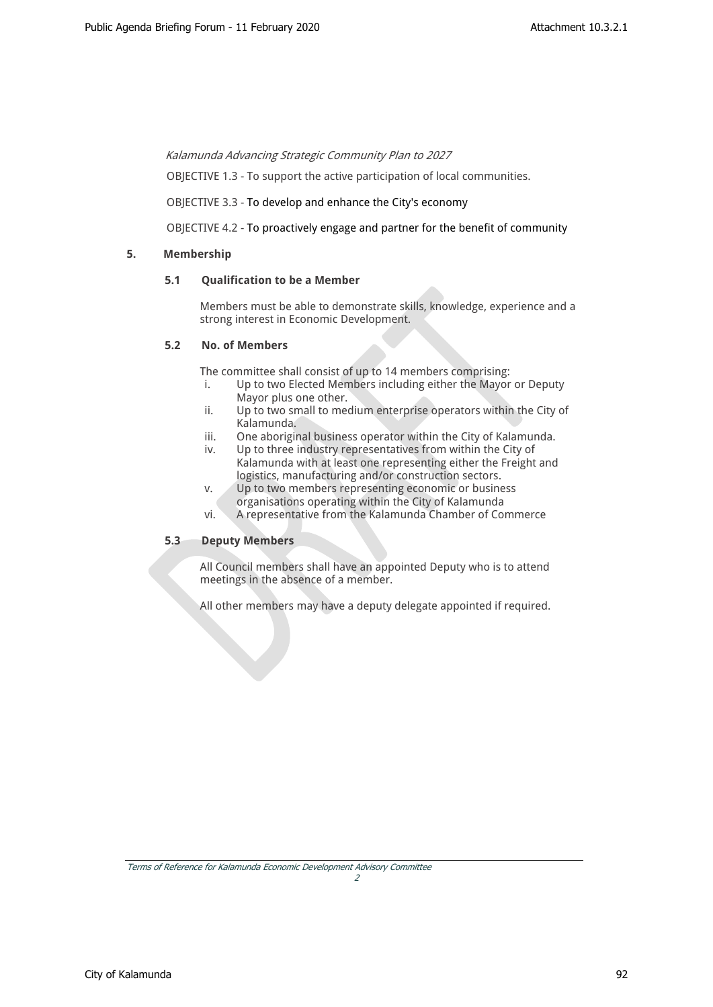*Kalamunda Advancing Strategic Community Plan to 2027* 

OBJECTIVE 1.3 - To support the active participation of local communities.

OBJECTIVE 3.3 - To develop and enhance the City's economy

OBJECTIVE 4.2 - To proactively engage and partner for the benefit of community

# **5. Membership**

# **5.1 Qualification to be a Member**

Members must be able to demonstrate skills, knowledge, experience and a strong interest in Economic Development.

# **5.2 No. of Members**

The committee shall consist of up to 14 members comprising:

- i. Up to two Elected Members including either the Mayor or Deputy Mayor plus one other.
- ii. Up to two small to medium enterprise operators within the City of Kalamunda.
- iii. One aboriginal business operator within the City of Kalamunda.
- iv. Up to three industry representatives from within the City of Kalamunda with at least one representing either the Freight and logistics, manufacturing and/or construction sectors.
- v. Up to two members representing economic or business organisations operating within the City of Kalamunda
- vi. A representative from the Kalamunda Chamber of Commerce

# **5.3 Deputy Members**

All Council members shall have an appointed Deputy who is to attend meetings in the absence of a member.

All other members may have a deputy delegate appointed if required.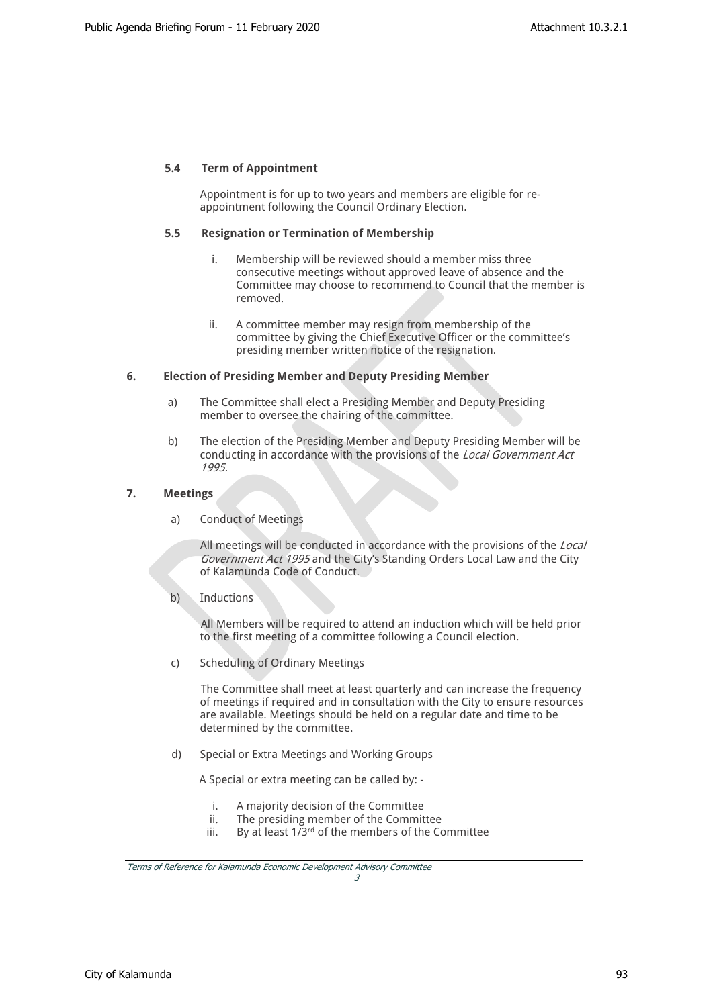## **5.4 Term of Appointment**

Appointment is for up to two years and members are eligible for reappointment following the Council Ordinary Election.

#### **5.5 Resignation or Termination of Membership**

- i. Membership will be reviewed should a member miss three consecutive meetings without approved leave of absence and the Committee may choose to recommend to Council that the member is removed.
- ii. A committee member may resign from membership of the committee by giving the Chief Executive Officer or the committee's presiding member written notice of the resignation.

#### **6. Election of Presiding Member and Deputy Presiding Member**

- a) The Committee shall elect a Presiding Member and Deputy Presiding member to oversee the chairing of the committee.
- b) The election of the Presiding Member and Deputy Presiding Member will be conducting in accordance with the provisions of the *Local Government Act 1995.*

## **7. Meetings**

a) Conduct of Meetings

All meetings will be conducted in accordance with the provisions of the *Local Government Act 1995* and the City's Standing Orders Local Law and the City of Kalamunda Code of Conduct.

b) Inductions

All Members will be required to attend an induction which will be held prior to the first meeting of a committee following a Council election.

c) Scheduling of Ordinary Meetings

The Committee shall meet at least quarterly and can increase the frequency of meetings if required and in consultation with the City to ensure resources are available. Meetings should be held on a regular date and time to be determined by the committee.

d) Special or Extra Meetings and Working Groups

A Special or extra meeting can be called by: -

- i. A majority decision of the Committee
- ii. The presiding member of the Committee
- iii. By at least  $1/3^{rd}$  of the members of the Committee

*3*

*Terms of Reference for Kalamunda Economic Development Advisory Committee*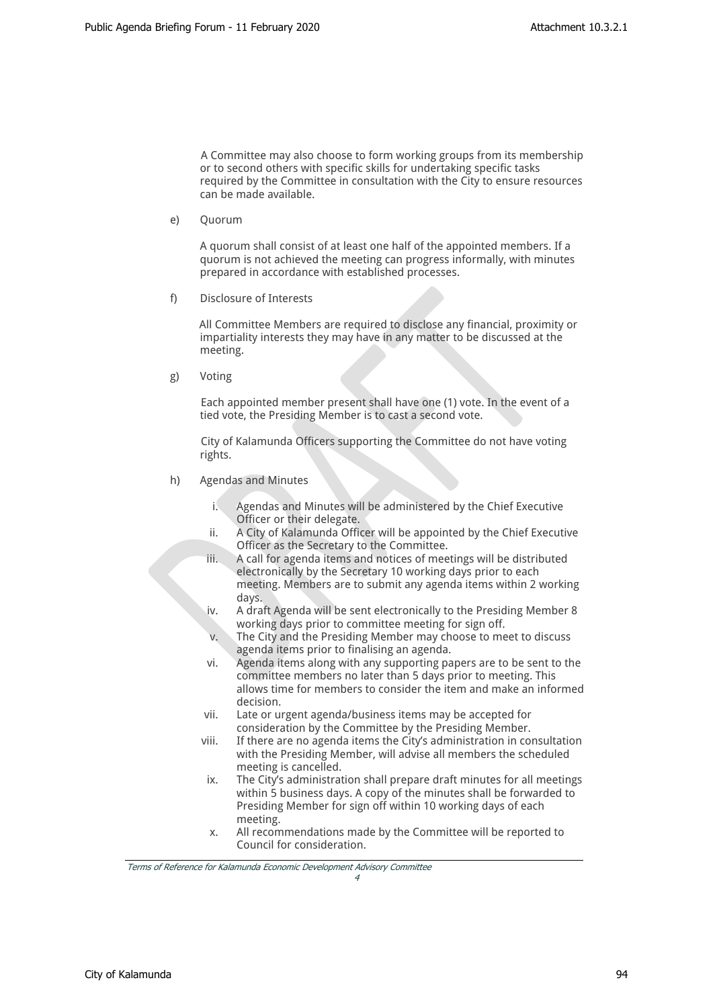A Committee may also choose to form working groups from its membership or to second others with specific skills for undertaking specific tasks required by the Committee in consultation with the City to ensure resources can be made available.

e) Quorum

A quorum shall consist of at least one half of the appointed members. If a quorum is not achieved the meeting can progress informally, with minutes prepared in accordance with established processes.

f) Disclosure of Interests

All Committee Members are required to disclose any financial, proximity or impartiality interests they may have in any matter to be discussed at the meeting.

g) Voting

Each appointed member present shall have one (1) vote. In the event of a tied vote, the Presiding Member is to cast a second vote.

City of Kalamunda Officers supporting the Committee do not have voting rights.

- h) Agendas and Minutes
	- Agendas and Minutes will be administered by the Chief Executive Officer or their delegate.
	- ii. A City of Kalamunda Officer will be appointed by the Chief Executive Officer as the Secretary to the Committee.
	- iii. A call for agenda items and notices of meetings will be distributed electronically by the Secretary 10 working days prior to each meeting. Members are to submit any agenda items within 2 working days.
	- iv. A draft Agenda will be sent electronically to the Presiding Member 8 working days prior to committee meeting for sign off.
	- v. The City and the Presiding Member may choose to meet to discuss agenda items prior to finalising an agenda.
	- vi. Agenda items along with any supporting papers are to be sent to the committee members no later than 5 days prior to meeting. This allows time for members to consider the item and make an informed decision.
	- vii. Late or urgent agenda/business items may be accepted for consideration by the Committee by the Presiding Member.
	- viii. If there are no agenda items the City's administration in consultation with the Presiding Member, will advise all members the scheduled meeting is cancelled.
	- ix. The City's administration shall prepare draft minutes for all meetings within 5 business days. A copy of the minutes shall be forwarded to Presiding Member for sign off within 10 working days of each meeting.
	- x. All recommendations made by the Committee will be reported to Council for consideration.

*4*

*Terms of Reference for Kalamunda Economic Development Advisory Committee*

City of Kalamunda 94